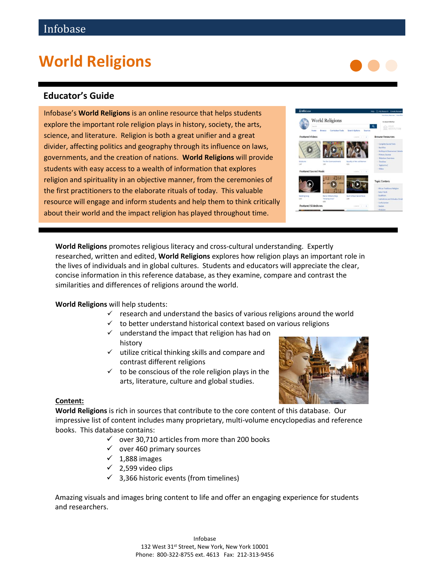## **Educator's Guide**

Infobase's **World Religions** is an online resource that helps students explore the important role religion plays in history, society, the arts, science, and literature. Religion is both a great unifier and a great divider, affecting politics and geography through its influence on laws, governments, and the creation of nations. **World Religions** will provide students with easy access to a wealth of information that explores religion and spirituality in an objective manner, from the ceremonies of the first practitioners to the elaborate rituals of today. This valuable resource will engage and inform students and help them to think critically about their world and the impact religion has played throughout time.

**World Religions** 

**World Religions** promotes religious literacy and cross-cultural understanding. Expertly researched, written and edited, **World Religions** explores how religion plays an important role in the lives of individuals and in global cultures. Students and educators will appreciate the clear, concise information in this reference database, as they examine, compare and contrast the similarities and differences of religions around the world.

#### **World Religions** will help students:

- $\checkmark$  research and understand the basics of various religions around the world
- $\checkmark$  to better understand historical context based on various religions
- $\checkmark$  understand the impact that religion has had on history
- $\checkmark$  utilize critical thinking skills and compare and contrast different religions
- $\checkmark$  to be conscious of the role religion plays in the arts, literature, culture and global studies.



#### **Content:**

**World Religions** is rich in sources that contribute to the core content of this database. Our impressive list of content includes many proprietary, multi-volume encyclopedias and reference books. This database contains:

- $\checkmark$  over 30,710 articles from more than 200 books
- $\checkmark$  over 460 primary sources
- $\checkmark$  1,888 images
- $\checkmark$  2,599 video clips
- $\checkmark$  3,366 historic events (from timelines)

Amazing visuals and images bring content to life and offer an engaging experience for students and researchers.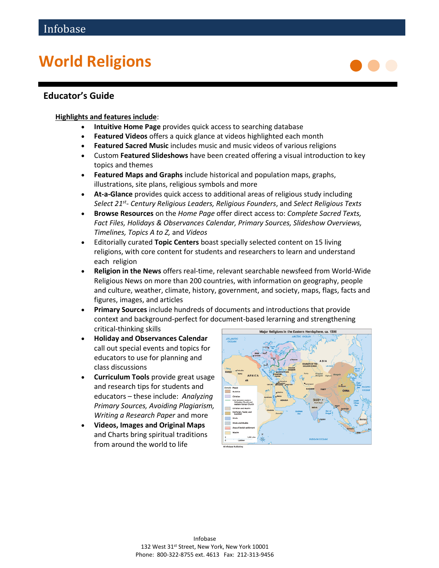## **Educator's Guide**

#### **Highlights and features include**:

- **Intuitive Home Page** provides quick access to searching database
- **Featured Videos** offers a quick glance at videos highlighted each month
- **Featured Sacred Music** includes music and music videos of various religions
- Custom **Featured Slideshows** have been created offering a visual introduction to key topics and themes
- **Featured Maps and Graphs** include historical and population maps, graphs, illustrations, site plans, religious symbols and more
- **At-a-Glance** provides quick access to additional areas of religious study including *Select 21st - Century Religious Leaders, Religious Founders*, and *Select Religious Texts*
- **Browse Resources** on the *Home Page* offer direct access to: *Complete Sacred Texts, Fact Files, Holidays & Observances Calendar, Primary Sources, Slideshow Overviews, Timelines, Topics A to Z,* and *Videos*
- Editorially curated **Topic Centers** boast specially selected content on 15 living religions, with core content for students and researchers to learn and understand each religion
- **Religion in the News** offers real-time, relevant searchable newsfeed from World-Wide Religious News on more than 200 countries, with information on geography, people and culture, weather, climate, history, government, and society, maps, flags, facts and figures, images, and articles
- **Primary Sources** include hundreds of documents and introductions that provide context and background-perfect for document-based lerarning and strengthening critical-thinking skills
- **Holiday and Observances Calendar** call out special events and topics for educators to use for planning and class discussions
- **Curriculum Tools** provide great usage and research tips for students and educators – these include: *Analyzing Primary Sources, Avoiding Plagiarism, Writing a Research Paper* and more
- **Videos, Images and Original Maps** and Charts bring spiritual traditions from around the world to life

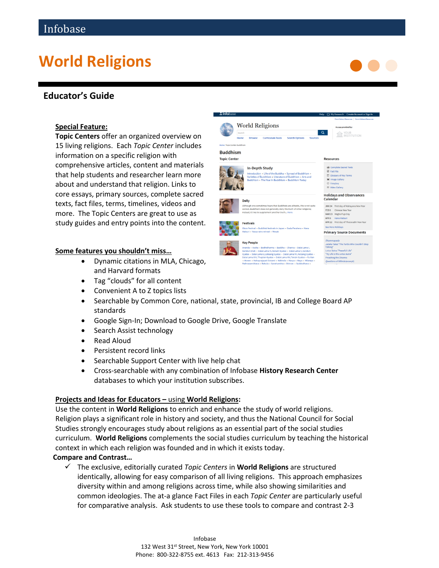## **Educator's Guide**

#### **Special Feature:**

**Topic Centers** offer an organized overview on 15 living religions. Each *Topic Center* includes information on a specific religion with comprehensive articles, content and materials that help students and researcher learn more about and understand that religion. Links to core essays, primary sources, complete sacred texts, fact files, terms, timelines, videos and more. The Topic Centers are great to use as study guides and entry points into the content.

#### **Some features you shouldn't miss…**

- Dynamic citations in MLA, Chicago, and Harvard formats
- Tag "clouds" for all content
- Convenient A to Z topics lists
- Searchable by Common Core, national, state, provincial, IB and College Board AP standards
- Google Sign-In; Download to Google Drive, Google Translate
- Search Assist technology
- Read Aloud
- Persistent record links
- Searchable Support Center with live help chat
- Cross-searchable with any combination of Infobase **History Research Center** databases to which your institution subscribes.

#### **Projects and Ideas for Educators –** using **World Religions:**

Use the content in **World Religions** to enrich and enhance the study of world religions. Religion plays a significant role in history and society, and thus the National Council for Social Studies strongly encourages study about religions as an essential part of the social studies curriculum. **World Religions** complements the social studies curriculum by teaching the historical context in which each religion was founded and in which it exists today.

#### **Compare and Contrast…**

 The exclusive, editorially curated *Topic Centers* in **World Religions** are structured identically, allowing for easy comparison of all living religions. This approach emphasizes diversity within and among religions across time, while also showing similarities and common ideologies. The at-a glance Fact Files in each *Topic Center* are particularly useful for comparative analysis. Ask students to use these tools to compare and contrast 2-3



 $\overline{a}$ 

**EXECUTE** 

**World Religions** 

**In-Depth Study** 

**Ruddhism Topic Center** 

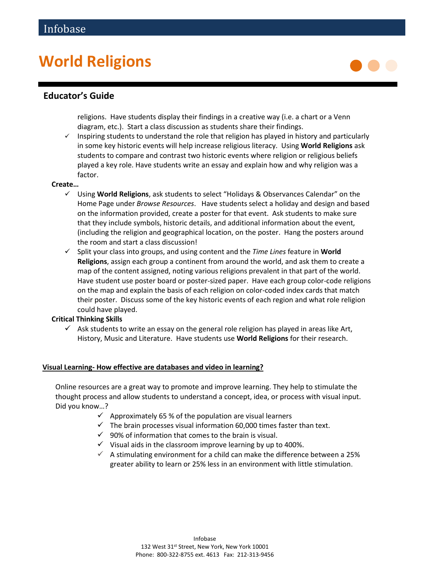

## **Educator's Guide**

religions. Have students display their findings in a creative way (i.e. a chart or a Venn diagram, etc.). Start a class discussion as students share their findings.

 $\checkmark$  Inspiring students to understand the role that religion has played in history and particularly in some key historic events will help increase religious literacy. Using **World Religions** ask students to compare and contrast two historic events where religion or religious beliefs played a key role. Have students write an essay and explain how and why religion was a factor.

#### **Create…**

- Using **World Religions**, ask students to select "Holidays & Observances Calendar" on the Home Page under *Browse Resources*. Have students select a holiday and design and based on the information provided, create a poster for that event. Ask students to make sure that they include symbols, historic details, and additional information about the event, (including the religion and geographical location, on the poster. Hang the posters around the room and start a class discussion!
- $\checkmark$  Split your class into groups, and using content and the *Time Lines* feature in **World Religions**, assign each group a continent from around the world, and ask them to create a map of the content assigned, noting various religions prevalent in that part of the world. Have student use poster board or poster-sized paper. Have each group color-code religions on the map and explain the basis of each religion on color-coded index cards that match their poster. Discuss some of the key historic events of each region and what role religion could have played.

#### **Critical Thinking Skills**

 $\checkmark$  Ask students to write an essay on the general role religion has played in areas like Art, History, Music and Literature. Have students use **World Religions** for their research.

#### **Visual Learning- How effective are databases and video in learning?**

Online resources are a great way to promote and improve learning. They help to stimulate the thought process and allow students to understand a concept, idea, or process with visual input. Did you know…?

- $\checkmark$  Approximately 65 % of the population are visual learners
- $\checkmark$  The brain processes visual information 60,000 times faster than text.
- $\checkmark$  90% of information that comes to the brain is visual.
- $\checkmark$  Visual aids in the classroom improve learning by up to 400%.
- $\checkmark$  A stimulating environment for a child can make the difference between a 25% [greater ability to learn](http://www.brainconnection.com/library/?main=explorehome/brain-facts) or 25% less in an environment with little stimulation.